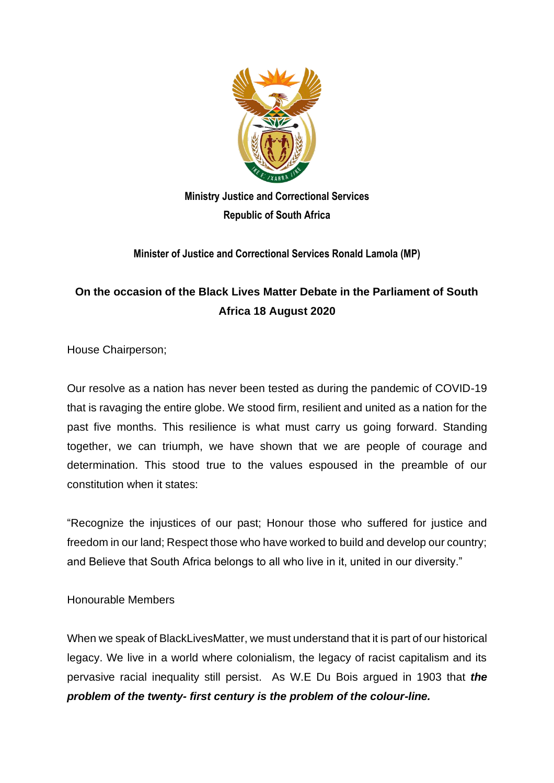

**Ministry Justice and Correctional Services Republic of South Africa** 

**Minister of Justice and Correctional Services Ronald Lamola (MP)**

## **On the occasion of the Black Lives Matter Debate in the Parliament of South Africa 18 August 2020**

House Chairperson;

Our resolve as a nation has never been tested as during the pandemic of COVID-19 that is ravaging the entire globe. We stood firm, resilient and united as a nation for the past five months. This resilience is what must carry us going forward. Standing together, we can triumph, we have shown that we are people of courage and determination. This stood true to the values espoused in the preamble of our constitution when it states:

"Recognize the injustices of our past; Honour those who suffered for justice and freedom in our land; Respect those who have worked to build and develop our country; and Believe that South Africa belongs to all who live in it, united in our diversity."

## Honourable Members

When we speak of BlackLivesMatter, we must understand that it is part of our historical legacy. We live in a world where colonialism, the legacy of racist capitalism and its pervasive racial inequality still persist. As W.E Du Bois argued in 1903 that *the problem of the twenty- first century is the problem of the colour-line.*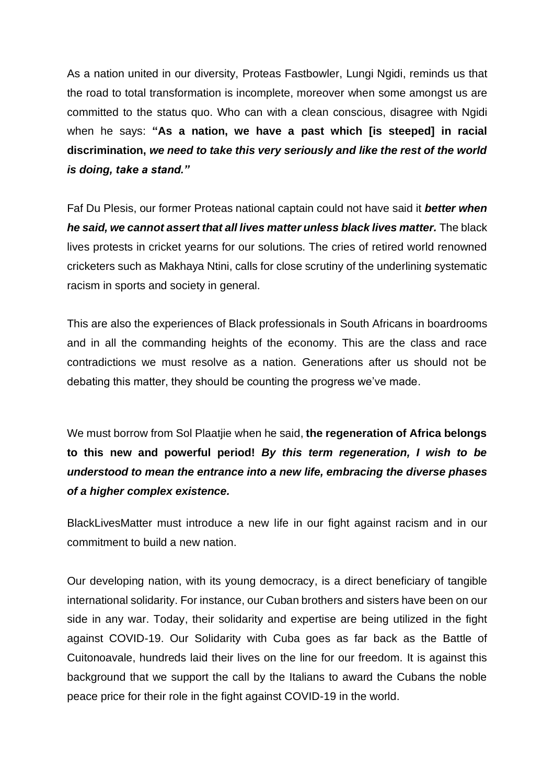As a nation united in our diversity, Proteas Fastbowler, Lungi Ngidi, reminds us that the road to total transformation is incomplete, moreover when some amongst us are committed to the status quo. Who can with a clean conscious, disagree with Ngidi when he says: **"As a nation, we have a past which [is steeped] in racial discrimination,** *we need to take this very seriously and like the rest of the world is doing, take a stand."*

Faf Du Plesis, our former Proteas national captain could not have said it *better when he said, we cannot assert that all lives matter unless black lives matter.* The black lives protests in cricket yearns for our solutions. The cries of retired world renowned cricketers such as Makhaya Ntini, calls for close scrutiny of the underlining systematic racism in sports and society in general.

This are also the experiences of Black professionals in South Africans in boardrooms and in all the commanding heights of the economy. This are the class and race contradictions we must resolve as a nation. Generations after us should not be debating this matter, they should be counting the progress we've made.

We must borrow from Sol Plaatjie when he said, **the regeneration of Africa belongs to this new and powerful period!** *By this term regeneration, I wish to be understood to mean the entrance into a new life, embracing the diverse phases of a higher complex existence.* 

BlackLivesMatter must introduce a new life in our fight against racism and in our commitment to build a new nation.

Our developing nation, with its young democracy, is a direct beneficiary of tangible international solidarity. For instance, our Cuban brothers and sisters have been on our side in any war. Today, their solidarity and expertise are being utilized in the fight against COVID-19. Our Solidarity with Cuba goes as far back as the Battle of Cuitonoavale, hundreds laid their lives on the line for our freedom. It is against this background that we support the call by the Italians to award the Cubans the noble peace price for their role in the fight against COVID-19 in the world.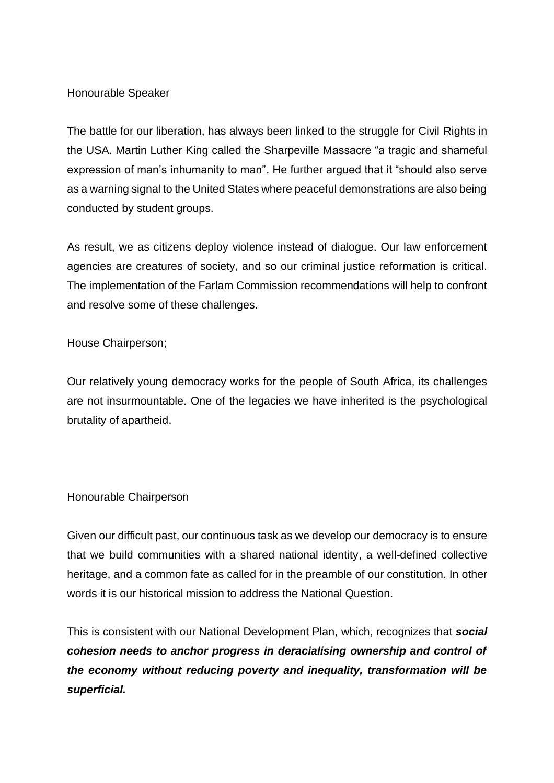## Honourable Speaker

The battle for our liberation, has always been linked to the struggle for Civil Rights in the USA. Martin Luther King called the Sharpeville Massacre "a tragic and shameful expression of man's inhumanity to man". He further argued that it "should also serve as a warning signal to the United States where peaceful demonstrations are also being conducted by student groups.

As result, we as citizens deploy violence instead of dialogue. Our law enforcement agencies are creatures of society, and so our criminal justice reformation is critical. The implementation of the Farlam Commission recommendations will help to confront and resolve some of these challenges.

House Chairperson;

Our relatively young democracy works for the people of South Africa, its challenges are not insurmountable. One of the legacies we have inherited is the psychological brutality of apartheid.

Honourable Chairperson

Given our difficult past, our continuous task as we develop our democracy is to ensure that we build communities with a shared national identity, a well-defined collective heritage, and a common fate as called for in the preamble of our constitution. In other words it is our historical mission to address the National Question.

This is consistent with our National Development Plan, which, recognizes that *social cohesion needs to anchor progress in deracialising ownership and control of the economy without reducing poverty and inequality, transformation will be superficial.*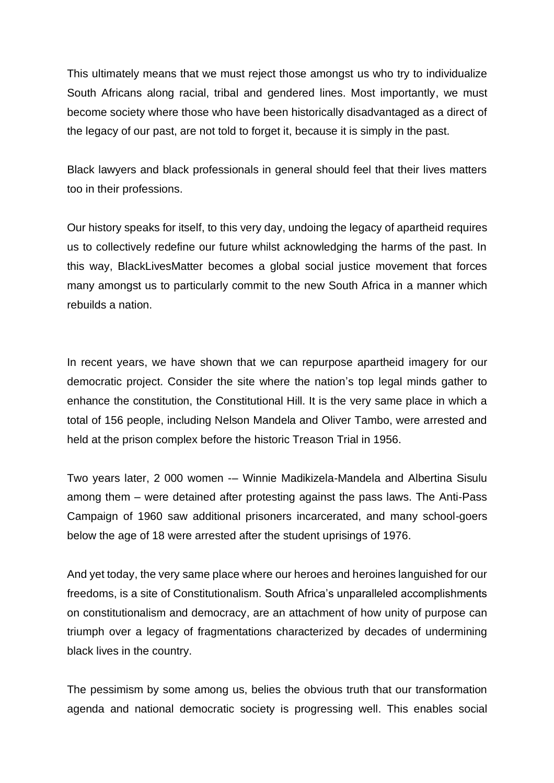This ultimately means that we must reject those amongst us who try to individualize South Africans along racial, tribal and gendered lines. Most importantly, we must become society where those who have been historically disadvantaged as a direct of the legacy of our past, are not told to forget it, because it is simply in the past.

Black lawyers and black professionals in general should feel that their lives matters too in their professions.

Our history speaks for itself, to this very day, undoing the legacy of apartheid requires us to collectively redefine our future whilst acknowledging the harms of the past. In this way, BlackLivesMatter becomes a global social justice movement that forces many amongst us to particularly commit to the new South Africa in a manner which rebuilds a nation.

In recent years, we have shown that we can repurpose apartheid imagery for our democratic project. Consider the site where the nation's top legal minds gather to enhance the constitution, the Constitutional Hill. It is the very same place in which a total of 156 people, including Nelson Mandela and Oliver Tambo, were arrested and held at the prison complex before the historic Treason Trial in 1956.

Two years later, 2 000 women -– Winnie Madikizela-Mandela and Albertina Sisulu among them – were detained after protesting against the pass laws. The Anti-Pass Campaign of 1960 saw additional prisoners incarcerated, and many school-goers below the age of 18 were arrested after the student uprisings of 1976.

And yet today, the very same place where our heroes and heroines languished for our freedoms, is a site of Constitutionalism. South Africa's unparalleled accomplishments on constitutionalism and democracy, are an attachment of how unity of purpose can triumph over a legacy of fragmentations characterized by decades of undermining black lives in the country.

The pessimism by some among us, belies the obvious truth that our transformation agenda and national democratic society is progressing well. This enables social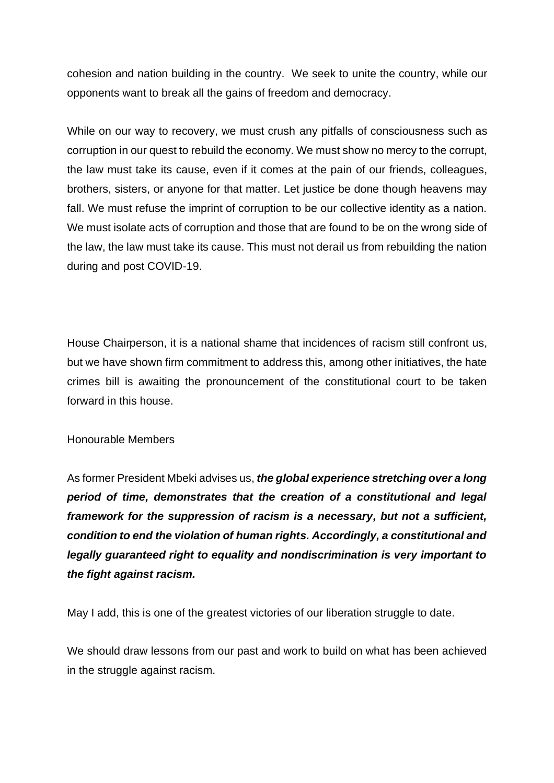cohesion and nation building in the country. We seek to unite the country, while our opponents want to break all the gains of freedom and democracy.

While on our way to recovery, we must crush any pitfalls of consciousness such as corruption in our quest to rebuild the economy. We must show no mercy to the corrupt, the law must take its cause, even if it comes at the pain of our friends, colleagues, brothers, sisters, or anyone for that matter. Let justice be done though heavens may fall. We must refuse the imprint of corruption to be our collective identity as a nation. We must isolate acts of corruption and those that are found to be on the wrong side of the law, the law must take its cause. This must not derail us from rebuilding the nation during and post COVID-19.

House Chairperson, it is a national shame that incidences of racism still confront us, but we have shown firm commitment to address this, among other initiatives, the hate crimes bill is awaiting the pronouncement of the constitutional court to be taken forward in this house.

## Honourable Members

As former President Mbeki advises us, *the global experience stretching over a long period of time, demonstrates that the creation of a constitutional and legal framework for the suppression of racism is a necessary, but not a sufficient, condition to end the violation of human rights. Accordingly, a constitutional and legally guaranteed right to equality and nondiscrimination is very important to the fight against racism.*

May I add, this is one of the greatest victories of our liberation struggle to date.

We should draw lessons from our past and work to build on what has been achieved in the struggle against racism.